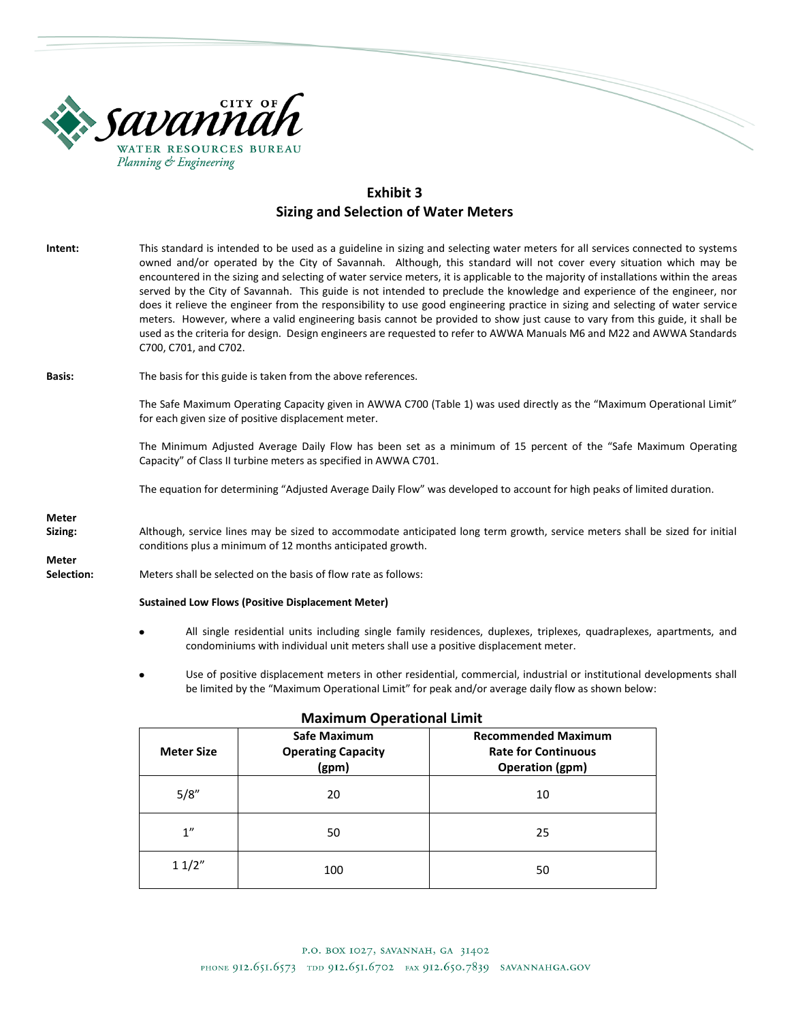

# **Exhibit 3 Sizing and Selection of Water Meters**

| Intent:                    | This standard is intended to be used as a guideline in sizing and selecting water meters for all services connected to systems<br>owned and/or operated by the City of Savannah. Although, this standard will not cover every situation which may be<br>encountered in the sizing and selecting of water service meters, it is applicable to the majority of installations within the areas<br>served by the City of Savannah. This guide is not intended to preclude the knowledge and experience of the engineer, nor<br>does it relieve the engineer from the responsibility to use good engineering practice in sizing and selecting of water service<br>meters. However, where a valid engineering basis cannot be provided to show just cause to vary from this guide, it shall be<br>used as the criteria for design. Design engineers are requested to refer to AWWA Manuals M6 and M22 and AWWA Standards<br>C700, C701, and C702. |  |  |  |  |
|----------------------------|---------------------------------------------------------------------------------------------------------------------------------------------------------------------------------------------------------------------------------------------------------------------------------------------------------------------------------------------------------------------------------------------------------------------------------------------------------------------------------------------------------------------------------------------------------------------------------------------------------------------------------------------------------------------------------------------------------------------------------------------------------------------------------------------------------------------------------------------------------------------------------------------------------------------------------------------|--|--|--|--|
| <b>Basis:</b>              | The basis for this guide is taken from the above references.                                                                                                                                                                                                                                                                                                                                                                                                                                                                                                                                                                                                                                                                                                                                                                                                                                                                                |  |  |  |  |
|                            | The Safe Maximum Operating Capacity given in AWWA C700 (Table 1) was used directly as the "Maximum Operational Limit"<br>for each given size of positive displacement meter.                                                                                                                                                                                                                                                                                                                                                                                                                                                                                                                                                                                                                                                                                                                                                                |  |  |  |  |
|                            | The Minimum Adjusted Average Daily Flow has been set as a minimum of 15 percent of the "Safe Maximum Operating<br>Capacity" of Class II turbine meters as specified in AWWA C701.                                                                                                                                                                                                                                                                                                                                                                                                                                                                                                                                                                                                                                                                                                                                                           |  |  |  |  |
|                            | The equation for determining "Adjusted Average Daily Flow" was developed to account for high peaks of limited duration.                                                                                                                                                                                                                                                                                                                                                                                                                                                                                                                                                                                                                                                                                                                                                                                                                     |  |  |  |  |
| <b>Meter</b>               |                                                                                                                                                                                                                                                                                                                                                                                                                                                                                                                                                                                                                                                                                                                                                                                                                                                                                                                                             |  |  |  |  |
| Sizing:                    | Although, service lines may be sized to accommodate anticipated long term growth, service meters shall be sized for initial<br>conditions plus a minimum of 12 months anticipated growth.                                                                                                                                                                                                                                                                                                                                                                                                                                                                                                                                                                                                                                                                                                                                                   |  |  |  |  |
| <b>Meter</b><br>Selection: | Meters shall be selected on the basis of flow rate as follows:                                                                                                                                                                                                                                                                                                                                                                                                                                                                                                                                                                                                                                                                                                                                                                                                                                                                              |  |  |  |  |
|                            | <b>Sustained Low Flows (Positive Displacement Meter)</b>                                                                                                                                                                                                                                                                                                                                                                                                                                                                                                                                                                                                                                                                                                                                                                                                                                                                                    |  |  |  |  |
|                            | All single residential units including single family residences, duplexes, triplexes, quadraplexes, apartments, and<br>٠<br>condominiums with individual unit meters shall use a positive displacement meter.                                                                                                                                                                                                                                                                                                                                                                                                                                                                                                                                                                                                                                                                                                                               |  |  |  |  |

Use of positive displacement meters in other residential, commercial, industrial or institutional developments shall be limited by the "Maximum Operational Limit" for peak and/or average daily flow as shown below:

| <b>Meter Size</b> | 11.01<br><b>Safe Maximum</b><br><b>Operating Capacity</b><br>(gpm) | <b>Recommended Maximum</b><br><b>Rate for Continuous</b><br><b>Operation (gpm)</b> |  |
|-------------------|--------------------------------------------------------------------|------------------------------------------------------------------------------------|--|
| 5/8''             | 20                                                                 | 10                                                                                 |  |
| 1"                | 50                                                                 | 25                                                                                 |  |
| 11/2"             | 100                                                                | 50                                                                                 |  |

## **Maximum Operational Limit**